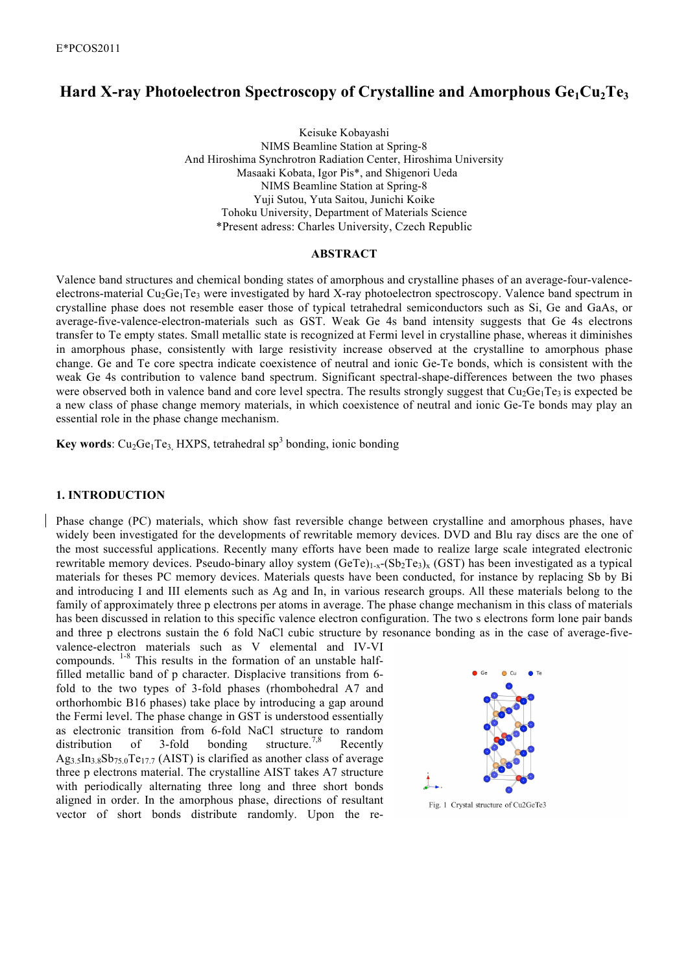# Hard X-ray Photoelectron Spectroscopy of Crystalline and Amorphous Ge<sub>1</sub>Cu<sub>2</sub>Te<sub>3</sub>

Keisuke Kobayashi NIMS Beamline Station at Spring-8 And Hiroshima Synchrotron Radiation Center, Hiroshima University Masaaki Kobata, Igor Pis\*, and Shigenori Ueda NIMS Beamline Station at Spring-8 Yuji Sutou, Yuta Saitou, Junichi Koike Tohoku University, Department of Materials Science \*Present adress: Charles University, Czech Republic

#### **ABSTRACT**

Valence band structures and chemical bonding states of amorphous and crystalline phases of an average-four-valenceelectrons-material Cu<sub>2</sub>Ge<sub>1</sub>Te<sub>3</sub> were investigated by hard X-ray photoelectron spectroscopy. Valence band spectrum in crystalline phase does not resemble easer those of typical tetrahedral semiconductors such as Si, Ge and GaAs, or average-five-valence-electron-materials such as GST. Weak Ge 4s band intensity suggests that Ge 4s electrons transfer to Te empty states. Small metallic state is recognized at Fermi level in crystalline phase, whereas it diminishes in amorphous phase, consistently with large resistivity increase observed at the crystalline to amorphous phase change. Ge and Te core spectra indicate coexistence of neutral and ionic Ge-Te bonds, which is consistent with the weak Ge 4s contribution to valence band spectrum. Significant spectral-shape-differences between the two phases were observed both in valence band and core level spectra. The results strongly suggest that  $Cu_2Ge_1Te_3$  is expected be a new class of phase change memory materials, in which coexistence of neutral and ionic Ge-Te bonds may play an essential role in the phase change mechanism.

**Key words**:  $Cu_2Ge_1Te_3$ , HXPS, tetrahedral  $sp^3$  bonding, ionic bonding

## **1. INTRODUCTION**

Phase change (PC) materials, which show fast reversible change between crystalline and amorphous phases, have widely been investigated for the developments of rewritable memory devices. DVD and Blu ray discs are the one of the most successful applications. Recently many efforts have been made to realize large scale integrated electronic rewritable memory devices. Pseudo-binary alloy system  $(GeTe)_{1-x}-(Sb_2Te_3)_x$  (GST) has been investigated as a typical materials for theses PC memory devices. Materials quests have been conducted, for instance by replacing Sb by Bi and introducing I and III elements such as Ag and In, in various research groups. All these materials belong to the family of approximately three p electrons per atoms in average. The phase change mechanism in this class of materials has been discussed in relation to this specific valence electron configuration. The two s electrons form lone pair bands and three p electrons sustain the 6 fold NaCl cubic structure by resonance bonding as in the case of average-five-

valence-electron materials such as V elemental and IV-VI compounds.  $1-8$  This results in the formation of an unstable halffilled metallic band of p character. Displacive transitions from 6 fold to the two types of 3-fold phases (rhombohedral A7 and orthorhombic B16 phases) take place by introducing a gap around the Fermi level. The phase change in GST is understood essentially as electronic transition from 6-fold NaCl structure to random distribution of 3-fold bonding structure.<sup>7,8</sup> Recently  $Ag_{3.5}In_{3.8}Sb_{75.0}Te_{17.7}$  (AIST) is clarified as another class of average three p electrons material. The crystalline AIST takes A7 structure with periodically alternating three long and three short bonds aligned in order. In the amorphous phase, directions of resultant vector of short bonds distribute randomly. Upon the re-



Fig. 1 Crystal structure of Cu2GeTe3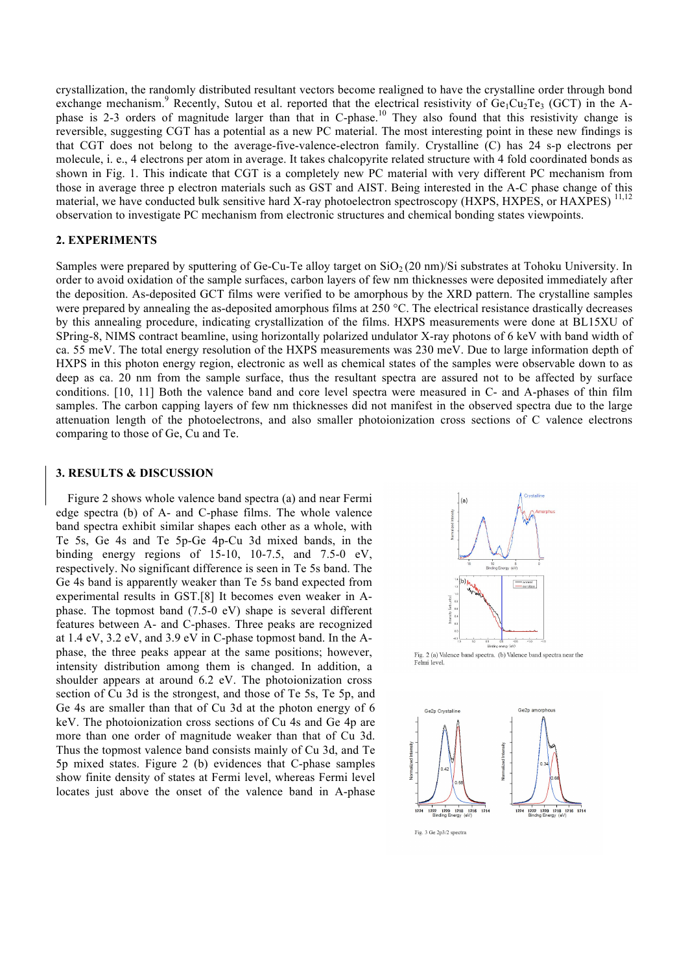crystallization, the randomly distributed resultant vectors become realigned to have the crystalline order through bond exchange mechanism.<sup>9</sup> Recently, Sutou et al. reported that the electrical resistivity of Ge<sub>1</sub>Cu<sub>2</sub>Te<sub>3</sub> (GCT) in the Aphase is 2-3 orders of magnitude larger than that in C-phase.<sup>10</sup> They also found that this resistivity change is reversible, suggesting CGT has a potential as a new PC material. The most interesting point in these new findings is that CGT does not belong to the average-five-valence-electron family. Crystalline (C) has 24 s-p electrons per molecule, i. e., 4 electrons per atom in average. It takes chalcopyrite related structure with 4 fold coordinated bonds as shown in Fig. 1. This indicate that CGT is a completely new PC material with very different PC mechanism from those in average three p electron materials such as GST and AIST. Being interested in the A-C phase change of this material, we have conducted bulk sensitive hard X-ray photoelectron spectroscopy (HXPS, HXPES, or HAXPES) <sup>11,12</sup> observation to investigate PC mechanism from electronic structures and chemical bonding states viewpoints.

## **2. EXPERIMENTS**

Samples were prepared by sputtering of Ge-Cu-Te alloy target on  $SiO<sub>2</sub>(20 \text{ nm})$ /Si substrates at Tohoku University. In order to avoid oxidation of the sample surfaces, carbon layers of few nm thicknesses were deposited immediately after the deposition. As-deposited GCT films were verified to be amorphous by the XRD pattern. The crystalline samples were prepared by annealing the as-deposited amorphous films at 250 °C. The electrical resistance drastically decreases by this annealing procedure, indicating crystallization of the films. HXPS measurements were done at BL15XU of SPring-8, NIMS contract beamline, using horizontally polarized undulator X-ray photons of 6 keV with band width of ca. 55 meV. The total energy resolution of the HXPS measurements was 230 meV. Due to large information depth of HXPS in this photon energy region, electronic as well as chemical states of the samples were observable down to as deep as ca. 20 nm from the sample surface, thus the resultant spectra are assured not to be affected by surface conditions. [10, 11] Both the valence band and core level spectra were measured in C- and A-phases of thin film samples. The carbon capping layers of few nm thicknesses did not manifest in the observed spectra due to the large attenuation length of the photoelectrons, and also smaller photoionization cross sections of C valence electrons comparing to those of Ge, Cu and Te.

#### **3. RESULTS & DISCUSSION**

 Figure 2 shows whole valence band spectra (a) and near Fermi edge spectra (b) of A- and C-phase films. The whole valence band spectra exhibit similar shapes each other as a whole, with Te 5s, Ge 4s and Te 5p-Ge 4p-Cu 3d mixed bands, in the binding energy regions of  $15-10$ ,  $10-7.5$ , and  $7.5-0$  eV, respectively. No significant difference is seen in Te 5s band. The Ge 4s band is apparently weaker than Te 5s band expected from experimental results in GST.[8] It becomes even weaker in Aphase. The topmost band (7.5-0 eV) shape is several different features between A- and C-phases. Three peaks are recognized at 1.4 eV, 3.2 eV, and 3.9 eV in C-phase topmost band. In the Aphase, the three peaks appear at the same positions; however, intensity distribution among them is changed. In addition, a shoulder appears at around 6.2 eV. The photoionization cross section of Cu 3d is the strongest, and those of Te 5s, Te 5p, and Ge 4s are smaller than that of Cu 3d at the photon energy of 6 keV. The photoionization cross sections of Cu 4s and Ge 4p are more than one order of magnitude weaker than that of Cu 3d. Thus the topmost valence band consists mainly of Cu 3d, and Te 5p mixed states. Figure 2 (b) evidences that C-phase samples show finite density of states at Fermi level, whereas Fermi level locates just above the onset of the valence band in A-phase



1222 1220 1218 1216 121-<br>Bindng Energy (eV)

Fig. 3 Ge 2p3/2 spectra

1222 1220 1218 1216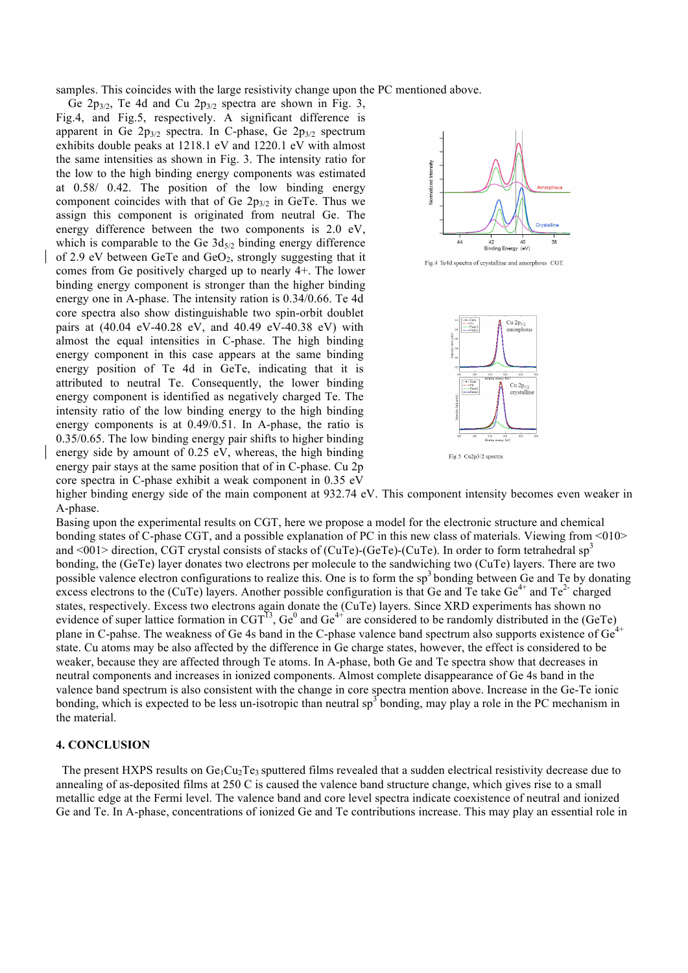samples. This coincides with the large resistivity change upon the PC mentioned above.

Ge  $2p_{3/2}$ , Te 4d and Cu  $2p_{3/2}$  spectra are shown in Fig. 3, Fig.4, and Fig.5, respectively. A significant difference is apparent in Ge  $2p_{3/2}$  spectra. In C-phase, Ge  $2p_{3/2}$  spectrum exhibits double peaks at 1218.1 eV and 1220.1 eV with almost the same intensities as shown in Fig. 3. The intensity ratio for the low to the high binding energy components was estimated at 0.58/ 0.42. The position of the low binding energy component coincides with that of Ge  $2p_{3/2}$  in GeTe. Thus we assign this component is originated from neutral Ge. The energy difference between the two components is 2.0 eV, which is comparable to the Ge  $3d_{5/2}$  binding energy difference of 2.9 eV between GeTe and  $GeO<sub>2</sub>$ , strongly suggesting that it comes from Ge positively charged up to nearly 4+. The lower binding energy component is stronger than the higher binding energy one in A-phase. The intensity ration is 0.34/0.66. Te 4d core spectra also show distinguishable two spin-orbit doublet pairs at (40.04 eV-40.28 eV, and 40.49 eV-40.38 eV) with almost the equal intensities in C-phase. The high binding energy component in this case appears at the same binding energy position of Te 4d in GeTe, indicating that it is attributed to neutral Te. Consequently, the lower binding energy component is identified as negatively charged Te. The intensity ratio of the low binding energy to the high binding energy components is at 0.49/0.51. In A-phase, the ratio is 0.35/0.65. The low binding energy pair shifts to higher binding energy side by amount of 0.25 eV, whereas, the high binding energy pair stays at the same position that of in C-phase. Cu 2p core spectra in C-phase exhibit a weak component in 0.35 eV



Fig.4 Te4d spectra of crystalline and amorphous CGT.



higher binding energy side of the main component at 932.74 eV. This component intensity becomes even weaker in

A-phase. Basing upon the experimental results on CGT, here we propose a model for the electronic structure and chemical bonding states of C-phase CGT, and a possible explanation of PC in this new class of materials. Viewing from <010> and <001> direction, CGT crystal consists of stacks of (CuTe)-(GeTe)-(CuTe). In order to form tetrahedral sp<sup>4</sup> bonding, the (GeTe) layer donates two electrons per molecule to the sandwiching two (CuTe) layers. There are two possible valence electron configurations to realize this. One is to form the sp<sup>3</sup> bonding between Ge and Te by donating excess electrons to the (CuTe) layers. Another possible configuration is that Ge and Te take Ge<sup>4+</sup> and Te<sup>2-</sup> charged states, respectively. Excess two electrons again donate the (CuTe) layers. Since XRD experiments has shown no evidence of super lattice formation in CGT<sup>13</sup>, Ge<sup>0</sup> and Ge<sup>4+</sup> are considered to be randomly distributed in the (GeTe) plane in C-pahse. The weakness of Ge 4s band in the C-phase valence band spectrum also supports existence of Ge<sup>4+</sup> state. Cu atoms may be also affected by the difference in Ge charge states, however, the effect is considered to be weaker, because they are affected through Te atoms. In A-phase, both Ge and Te spectra show that decreases in neutral components and increases in ionized components. Almost complete disappearance of Ge 4s band in the valence band spectrum is also consistent with the change in core spectra mention above. Increase in the Ge-Te ionic bonding, which is expected to be less un-isotropic than neutral  $sp^3$  bonding, may play a role in the PC mechanism in the material.

#### **4. CONCLUSION**

The present HXPS results on  $Ge_1Cu_2Te_3$  sputtered films revealed that a sudden electrical resistivity decrease due to annealing of as-deposited films at 250 C is caused the valence band structure change, which gives rise to a small metallic edge at the Fermi level. The valence band and core level spectra indicate coexistence of neutral and ionized Ge and Te. In A-phase, concentrations of ionized Ge and Te contributions increase. This may play an essential role in